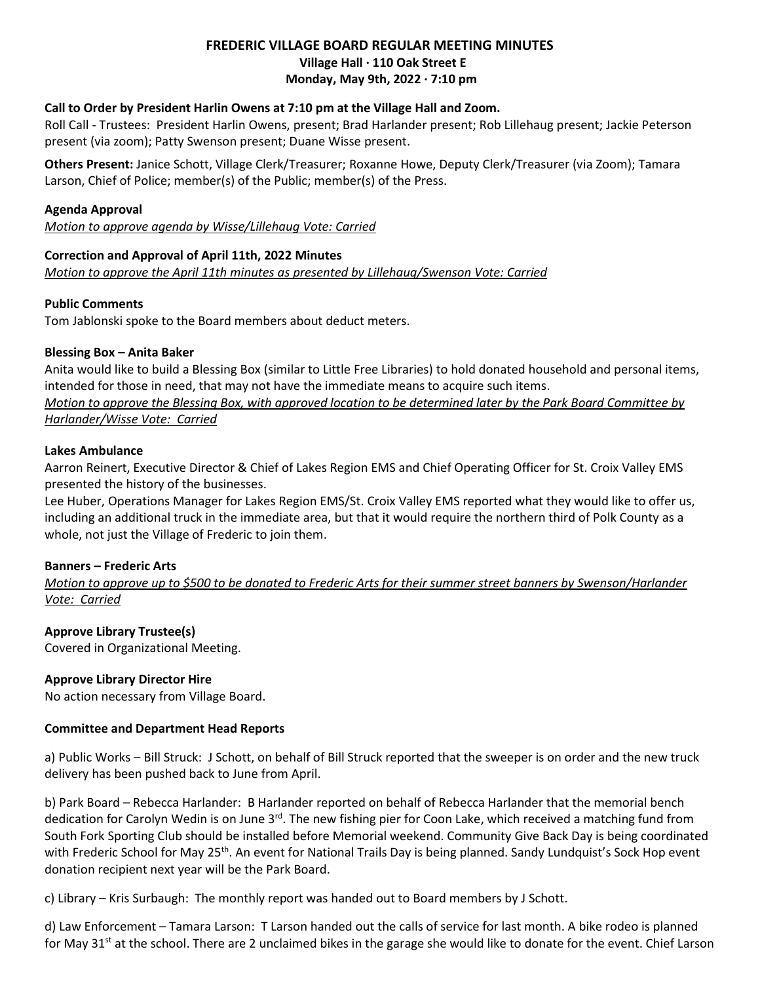# **FREDERIC VILLAGE BOARD REGULAR MEETING MINUTES Village Hall ∙ 110 Oak Street E Monday, May 9th, 2022 ∙ 7:10 pm**

### **Call to Order by President Harlin Owens at 7:10 pm at the Village Hall and Zoom.**

Roll Call - Trustees: President Harlin Owens, present; Brad Harlander present; Rob Lillehaug present; Jackie Peterson present (via zoom); Patty Swenson present; Duane Wisse present.

**Others Present:** Janice Schott, Village Clerk/Treasurer; Roxanne Howe, Deputy Clerk/Treasurer (via Zoom); Tamara Larson, Chief of Police; member(s) of the Public; member(s) of the Press.

#### **Agenda Approval**

*Motion to approve agenda by Wisse/Lillehaug Vote: Carried*

### **Correction and Approval of April 11th, 2022 Minutes**

*Motion to approve the April 11th minutes as presented by Lillehaug/Swenson Vote: Carried*

### **Public Comments**

Tom Jablonski spoke to the Board members about deduct meters.

### **Blessing Box – Anita Baker**

Anita would like to build a Blessing Box (similar to Little Free Libraries) to hold donated household and personal items, intended for those in need, that may not have the immediate means to acquire such items. *Motion to approve the Blessing Box, with approved location to be determined later by the Park Board Committee by Harlander/Wisse Vote: Carried* 

#### **Lakes Ambulance**

Aarron Reinert, Executive Director & Chief of Lakes Region EMS and Chief Operating Officer for St. Croix Valley EMS presented the history of the businesses.

Lee Huber, Operations Manager for Lakes Region EMS/St. Croix Valley EMS reported what they would like to offer us, including an additional truck in the immediate area, but that it would require the northern third of Polk County as a whole, not just the Village of Frederic to join them.

### **Banners – Frederic Arts**

*Motion to approve up to \$500 to be donated to Frederic Arts for their summer street banners by Swenson/Harlander Vote: Carried*

### **Approve Library Trustee(s)**

Covered in Organizational Meeting.

### **Approve Library Director Hire**

No action necessary from Village Board.

### **Committee and Department Head Reports**

a) Public Works – Bill Struck: J Schott, on behalf of Bill Struck reported that the sweeper is on order and the new truck delivery has been pushed back to June from April.

b) Park Board – Rebecca Harlander: B Harlander reported on behalf of Rebecca Harlander that the memorial bench dedication for Carolyn Wedin is on June 3<sup>rd</sup>. The new fishing pier for Coon Lake, which received a matching fund from South Fork Sporting Club should be installed before Memorial weekend. Community Give Back Day is being coordinated with Frederic School for May 25<sup>th</sup>. An event for National Trails Day is being planned. Sandy Lundquist's Sock Hop event donation recipient next year will be the Park Board.

c) Library – Kris Surbaugh: The monthly report was handed out to Board members by J Schott.

d) Law Enforcement – Tamara Larson: T Larson handed out the calls of service for last month. A bike rodeo is planned for May  $31^{st}$  at the school. There are 2 unclaimed bikes in the garage she would like to donate for the event. Chief Larson